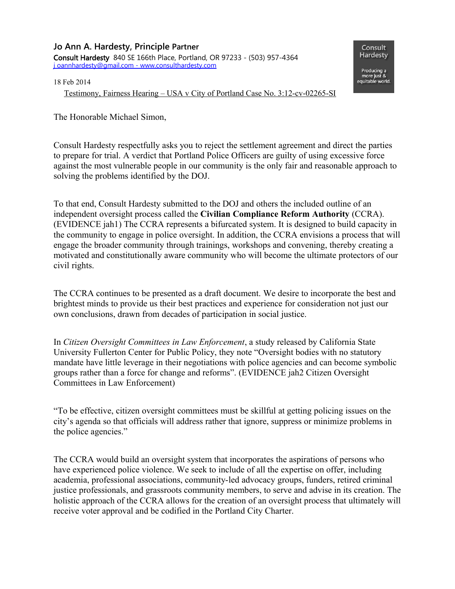**Jo Ann A. Hardesty, Principle Partner** Consult Hardesty 840 SE 166th Place, Portland, OR 97233 - (503) 957-4364  [j](mailto:rdhardesty@centurylink.net) oannhardesty@gmail.com - www.consulthardesty.com

Consult Hardesty

Producing a more just &<br>equitable world.

18 Feb 2014

Testimony, Fairness Hearing – USA v City of Portland Case No. 3:12-cv-02265-SI

The Honorable Michael Simon,

Consult Hardesty respectfully asks you to reject the settlement agreement and direct the parties to prepare for trial. A verdict that Portland Police Officers are guilty of using excessive force against the most vulnerable people in our community is the only fair and reasonable approach to solving the problems identified by the DOJ.

To that end, Consult Hardesty submitted to the DOJ and others the included outline of an independent oversight process called the **Civilian Compliance Reform Authority** (CCRA). (EVIDENCE jah1) The CCRA represents a bifurcated system. It is designed to build capacity in the community to engage in police oversight. In addition, the CCRA envisions a process that will engage the broader community through trainings, workshops and convening, thereby creating a motivated and constitutionally aware community who will become the ultimate protectors of our civil rights.

The CCRA continues to be presented as a draft document. We desire to incorporate the best and brightest minds to provide us their best practices and experience for consideration not just our own conclusions, drawn from decades of participation in social justice.

In *Citizen Oversight Committees in Law Enforcement*, a study released by California State University Fullerton Center for Public Policy, they note "Oversight bodies with no statutory mandate have little leverage in their negotiations with police agencies and can become symbolic groups rather than a force for change and reforms". (EVIDENCE jah2 Citizen Oversight Committees in Law Enforcement)

"To be effective, citizen oversight committees must be skillful at getting policing issues on the city's agenda so that officials will address rather that ignore, suppress or minimize problems in the police agencies."

The CCRA would build an oversight system that incorporates the aspirations of persons who have experienced police violence. We seek to include of all the expertise on offer, including academia, professional associations, community-led advocacy groups, funders, retired criminal justice professionals, and grassroots community members, to serve and advise in its creation. The holistic approach of the CCRA allows for the creation of an oversight process that ultimately will receive voter approval and be codified in the Portland City Charter.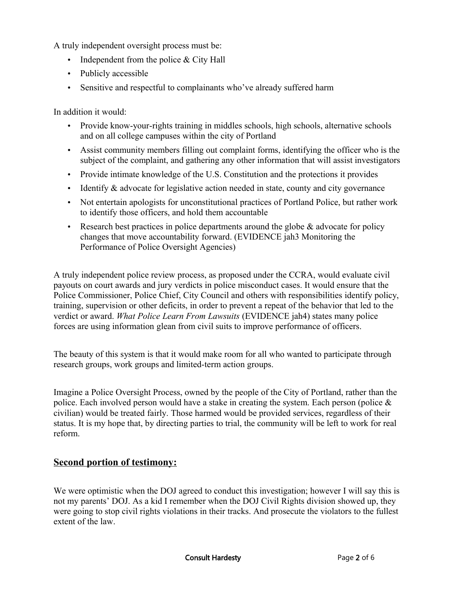A truly independent oversight process must be:

- Independent from the police & City Hall
- Publicly accessible
- Sensitive and respectful to complainants who've already suffered harm

In addition it would:

- Provide know-your-rights training in middles schools, high schools, alternative schools and on all college campuses within the city of Portland
- Assist community members filling out complaint forms, identifying the officer who is the subject of the complaint, and gathering any other information that will assist investigators
- Provide intimate knowledge of the U.S. Constitution and the protections it provides
- Identify & advocate for legislative action needed in state, county and city governance
- Not entertain apologists for unconstitutional practices of Portland Police, but rather work to identify those officers, and hold them accountable
- Research best practices in police departments around the globe  $\&$  advocate for policy changes that move accountability forward. (EVIDENCE jah3 Monitoring the Performance of Police Oversight Agencies)

A truly independent police review process, as proposed under the CCRA, would evaluate civil payouts on court awards and jury verdicts in police misconduct cases. It would ensure that the Police Commissioner, Police Chief, City Council and others with responsibilities identify policy, training, supervision or other deficits, in order to prevent a repeat of the behavior that led to the verdict or award. *What Police Learn From Lawsuits* (EVIDENCE jah4) states many police forces are using information glean from civil suits to improve performance of officers.

The beauty of this system is that it would make room for all who wanted to participate through research groups, work groups and limited-term action groups.

Imagine a Police Oversight Process, owned by the people of the City of Portland, rather than the police. Each involved person would have a stake in creating the system. Each person (police  $\&$ civilian) would be treated fairly. Those harmed would be provided services, regardless of their status. It is my hope that, by directing parties to trial, the community will be left to work for real reform.

#### **Second portion of testimony:**

We were optimistic when the DOJ agreed to conduct this investigation; however I will say this is not my parents' DOJ. As a kid I remember when the DOJ Civil Rights division showed up, they were going to stop civil rights violations in their tracks. And prosecute the violators to the fullest extent of the law.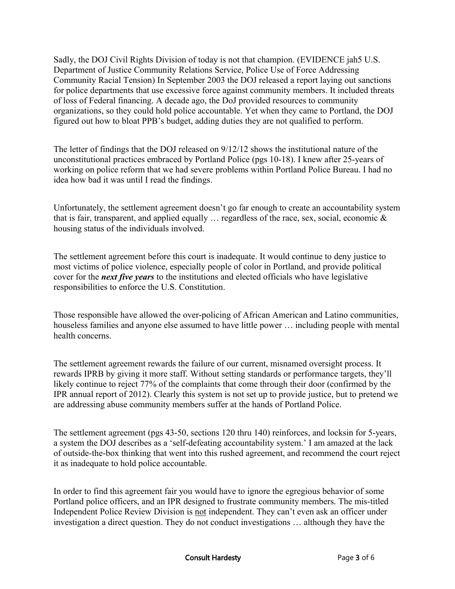Sadly, the DOJ Civil Rights Division of today is not that champion. (EVIDENCE jah5 U.S. Department of Justice Community Relations Service, Police Use of Force Addressing Community Racial Tension) In September 2003 the DOJ released a report laying out sanctions for police departments that use excessive force against community members. It included threats of loss of Federal financing. A decade ago, the DoJ provided resources to community organizations, so they could hold police accountable. Yet when they came to Portland, the DOJ figured out how to bloat PPB's budget, adding duties they are not qualified to perform.

The letter of findings that the DOJ released on 9/12/12 shows the institutional nature of the unconstitutional practices embraced by Portland Police (pgs 10-18). I knew after 25-years of working on police reform that we had severe problems within Portland Police Bureau. I had no idea how bad it was until I read the findings.

Unfortunately, the settlement agreement doesn't go far enough to create an accountability system that is fair, transparent, and applied equally  $\ldots$  regardless of the race, sex, social, economic  $\&$ housing status of the individuals involved.

The settlement agreement before this court is inadequate. It would continue to deny justice to most victims of police violence, especially people of color in Portland, and provide political cover for the *next five years* to the institutions and elected officials who have legislative responsibilities to enforce the U.S. Constitution.

Those responsible have allowed the over-policing of African American and Latino communities, houseless families and anyone else assumed to have little power … including people with mental health concerns.

The settlement agreement rewards the failure of our current, misnamed oversight process. It rewards IPRB by giving it more staff. Without setting standards or performance targets, they'll likely continue to reject 77% of the complaints that come through their door (confirmed by the IPR annual report of 2012). Clearly this system is not set up to provide justice, but to pretend we are addressing abuse community members suffer at the hands of Portland Police.

The settlement agreement (pgs 43-50, sections 120 thru 140) reinforces, and locksin for 5-years, a system the DOJ describes as a 'self-defeating accountability system.' I am amazed at the lack of outside-the-box thinking that went into this rushed agreement, and recommend the court reject it as inadequate to hold police accountable.

In order to find this agreement fair you would have to ignore the egregious behavior of some Portland police officers, and an IPR designed to frustrate community members. The mis-titled Independent Police Review Division is not independent. They can't even ask an officer under investigation a direct question. They do not conduct investigations … although they have the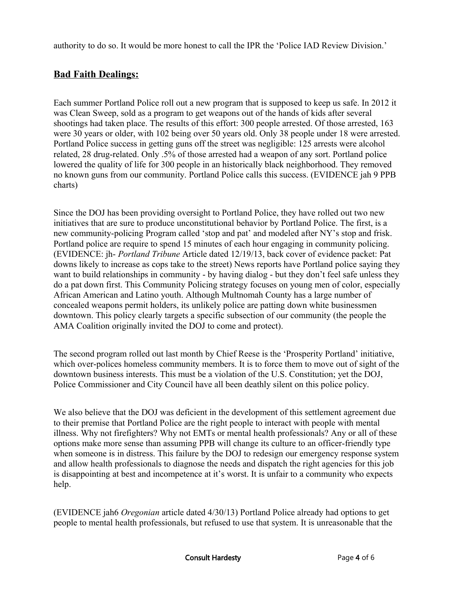authority to do so. It would be more honest to call the IPR the 'Police IAD Review Division.'

## **Bad Faith Dealings:**

Each summer Portland Police roll out a new program that is supposed to keep us safe. In 2012 it was Clean Sweep, sold as a program to get weapons out of the hands of kids after several shootings had taken place. The results of this effort: 300 people arrested. Of those arrested, 163 were 30 years or older, with 102 being over 50 years old. Only 38 people under 18 were arrested. Portland Police success in getting guns off the street was negligible: 125 arrests were alcohol related, 28 drug-related. Only .5% of those arrested had a weapon of any sort. Portland police lowered the quality of life for 300 people in an historically black neighborhood. They removed no known guns from our community. Portland Police calls this success. (EVIDENCE jah 9 PPB charts)

Since the DOJ has been providing oversight to Portland Police, they have rolled out two new initiatives that are sure to produce unconstitutional behavior by Portland Police. The first, is a new community-policing Program called 'stop and pat' and modeled after NY's stop and frisk. Portland police are require to spend 15 minutes of each hour engaging in community policing. (EVIDENCE: jh- *Portland Tribune* Article dated 12/19/13, back cover of evidence packet: Pat downs likely to increase as cops take to the street) News reports have Portland police saying they want to build relationships in community - by having dialog - but they don't feel safe unless they do a pat down first. This Community Policing strategy focuses on young men of color, especially African American and Latino youth. Although Multnomah County has a large number of concealed weapons permit holders, its unlikely police are patting down white businessmen downtown. This policy clearly targets a specific subsection of our community (the people the AMA Coalition originally invited the DOJ to come and protect).

The second program rolled out last month by Chief Reese is the 'Prosperity Portland' initiative, which over-polices homeless community members. It is to force them to move out of sight of the downtown business interests. This must be a violation of the U.S. Constitution; yet the DOJ, Police Commissioner and City Council have all been deathly silent on this police policy.

We also believe that the DOJ was deficient in the development of this settlement agreement due to their premise that Portland Police are the right people to interact with people with mental illness. Why not firefighters? Why not EMTs or mental health professionals? Any or all of these options make more sense than assuming PPB will change its culture to an officer-friendly type when someone is in distress. This failure by the DOJ to redesign our emergency response system and allow health professionals to diagnose the needs and dispatch the right agencies for this job is disappointing at best and incompetence at it's worst. It is unfair to a community who expects help.

(EVIDENCE jah6 *Oregonian* article dated 4/30/13) Portland Police already had options to get people to mental health professionals, but refused to use that system. It is unreasonable that the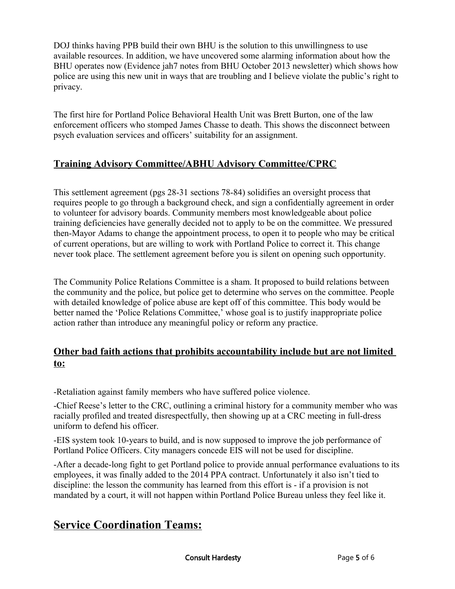DOJ thinks having PPB build their own BHU is the solution to this unwillingness to use available resources. In addition, we have uncovered some alarming information about how the BHU operates now (Evidence jah7 notes from BHU October 2013 newsletter) which shows how police are using this new unit in ways that are troubling and I believe violate the public's right to privacy.

The first hire for Portland Police Behavioral Health Unit was Brett Burton, one of the law enforcement officers who stomped James Chasse to death. This shows the disconnect between psych evaluation services and officers' suitability for an assignment.

## **Training Advisory Committee/ABHU Advisory Committee/CPRC**

This settlement agreement (pgs 28-31 sections 78-84) solidifies an oversight process that requires people to go through a background check, and sign a confidentially agreement in order to volunteer for advisory boards. Community members most knowledgeable about police training deficiencies have generally decided not to apply to be on the committee. We pressured then-Mayor Adams to change the appointment process, to open it to people who may be critical of current operations, but are willing to work with Portland Police to correct it. This change never took place. The settlement agreement before you is silent on opening such opportunity.

The Community Police Relations Committee is a sham. It proposed to build relations between the community and the police, but police get to determine who serves on the committee. People with detailed knowledge of police abuse are kept off of this committee. This body would be better named the 'Police Relations Committee,' whose goal is to justify inappropriate police action rather than introduce any meaningful policy or reform any practice.

#### **Other bad faith actions that prohibits accountability include but are not limited to:**

-Retaliation against family members who have suffered police violence.

-Chief Reese's letter to the CRC, outlining a criminal history for a community member who was racially profiled and treated disrespectfully, then showing up at a CRC meeting in full-dress uniform to defend his officer.

-EIS system took 10-years to build, and is now supposed to improve the job performance of Portland Police Officers. City managers concede EIS will not be used for discipline.

-After a decade-long fight to get Portland police to provide annual performance evaluations to its employees, it was finally added to the 2014 PPA contract. Unfortunately it also isn't tied to discipline: the lesson the community has learned from this effort is - if a provision is not mandated by a court, it will not happen within Portland Police Bureau unless they feel like it.

# **Service Coordination Teams:**